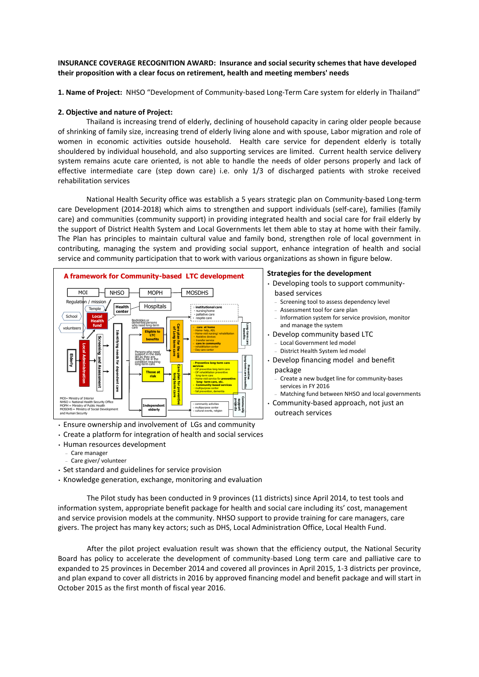## **INSURANCE COVERAGE RECOGNITION AWARD: Insurance and social security schemes that have developed their proposition with a clear focus on retirement, health and meeting members' needs**

**1. Name of Project:** NHSO "Development of Community-based Long-Term Care system for elderly in Thailand"

## **2. Objective and nature of Project:**

Thailand is increasing trend of elderly, declining of household capacity in caring older people because of shrinking of family size, increasing trend of elderly living alone and with spouse, Labor migration and role of women in economic activities outside household. Health care service for dependent elderly is totally shouldered by individual household, and also supporting services are limited. Current health service delivery system remains acute care oriented, is not able to handle the needs of older persons properly and lack of effective intermediate care (step down care) i.e. only 1/3 of discharged patients with stroke received rehabilitation services

National Health Security office was establish a 5 years strategic plan on Community-based Long-term care Development (2014-2018) which aims to strengthen and support individuals (self-care), families (family care) and communities (community support) in providing integrated health and social care for frail elderly by the support of District Health System and Local Governments let them able to stay at home with their family. The Plan has principles to maintain cultural value and family bond, strengthen role of local government in contributing, managing the system and providing social support, enhance integration of health and social service and community participation that to work with various organizations as shown in figure below.



• Ensure ownership and involvement of LGs and community

- Create a platform for integration of health and social services
- Human resources development
	- Care manager
	- Care giver/ volunteer
- Set standard and guidelines for service provision
- Knowledge generation, exchange, monitoring and evaluation

The Pilot study has been conducted in 9 provinces (11 districts) since April 2014, to test tools and information system, appropriate benefit package for health and social care including its' cost, management and service provision models at the community. NHSO support to provide training for care managers, care givers. The project has many key actors; such as DHS, Local Administration Office, Local Health Fund.

After the pilot project evaluation result was shown that the efficiency output, the National Security Board has policy to accelerate the development of community-based Long term care and palliative care to expanded to 25 provinces in December 2014 and covered all provinces in April 2015, 1-3 districts per province, and plan expand to cover all districts in 2016 by approved financing model and benefit package and will start in October 2015 as the first month of fiscal year 2016.

## **Strategies for the development**

- Developing tools to support community-
- based services
	- Screening tool to assess dependency level
	- Assessment tool for care plan – Information system for service provision, monitor
	- and manage the system
- Develop community based LTC
	- Local Government led model
	- District Health System led model
- Develop financing model and benefit package
	- Create a new budget line for community-bases services in FY 2016
- Matching fund between NHSO and local governments • Community-based approach, not just an
	- outreach services